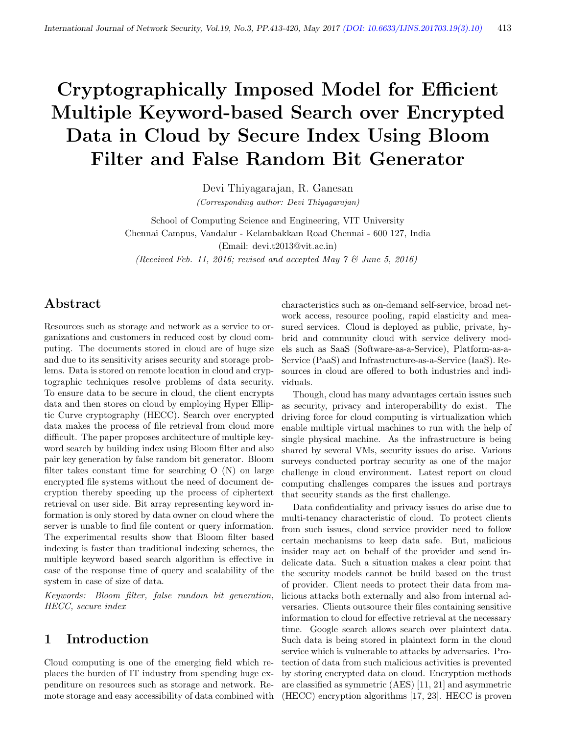# Cryptographically Imposed Model for Efficient Multiple Keyword-based Search over Encrypted Data in Cloud by Secure Index Using Bloom Filter and False Random Bit Generator

Devi Thiyagarajan, R. Ganesan (Corresponding author: Devi Thiyagarajan)

School of Computing Science and Engineering, VIT University Chennai Campus, Vandalur - Kelambakkam Road Chennai - 600 127, India (Email: devi.t2013@vit.ac.in) (Received Feb. 11, 2016; revised and accepted May 7 & June 5, 2016)

# Abstract

Resources such as storage and network as a service to organizations and customers in reduced cost by cloud computing. The documents stored in cloud are of huge size and due to its sensitivity arises security and storage problems. Data is stored on remote location in cloud and cryptographic techniques resolve problems of data security. To ensure data to be secure in cloud, the client encrypts data and then stores on cloud by employing Hyper Elliptic Curve cryptography (HECC). Search over encrypted data makes the process of file retrieval from cloud more difficult. The paper proposes architecture of multiple keyword search by building index using Bloom filter and also pair key generation by false random bit generator. Bloom filter takes constant time for searching O (N) on large encrypted file systems without the need of document decryption thereby speeding up the process of ciphertext retrieval on user side. Bit array representing keyword information is only stored by data owner on cloud where the server is unable to find file content or query information. The experimental results show that Bloom filter based indexing is faster than traditional indexing schemes, the multiple keyword based search algorithm is effective in case of the response time of query and scalability of the system in case of size of data.

Keywords: Bloom filter, false random bit generation, HECC, secure index

## 1 Introduction

Cloud computing is one of the emerging field which replaces the burden of IT industry from spending huge expenditure on resources such as storage and network. Remote storage and easy accessibility of data combined with characteristics such as on-demand self-service, broad network access, resource pooling, rapid elasticity and measured services. Cloud is deployed as public, private, hybrid and community cloud with service delivery models such as SaaS (Software-as-a-Service), Platform-as-a-Service (PaaS) and Infrastructure-as-a-Service (IaaS). Resources in cloud are offered to both industries and individuals.

Though, cloud has many advantages certain issues such as security, privacy and interoperability do exist. The driving force for cloud computing is virtualization which enable multiple virtual machines to run with the help of single physical machine. As the infrastructure is being shared by several VMs, security issues do arise. Various surveys conducted portray security as one of the major challenge in cloud environment. Latest report on cloud computing challenges compares the issues and portrays that security stands as the first challenge.

Data confidentiality and privacy issues do arise due to multi-tenancy characteristic of cloud. To protect clients from such issues, cloud service provider need to follow certain mechanisms to keep data safe. But, malicious insider may act on behalf of the provider and send indelicate data. Such a situation makes a clear point that the security models cannot be build based on the trust of provider. Client needs to protect their data from malicious attacks both externally and also from internal adversaries. Clients outsource their files containing sensitive information to cloud for effective retrieval at the necessary time. Google search allows search over plaintext data. Such data is being stored in plaintext form in the cloud service which is vulnerable to attacks by adversaries. Protection of data from such malicious activities is prevented by storing encrypted data on cloud. Encryption methods are classified as symmetric (AES) [11, 21] and asymmetric (HECC) encryption algorithms [17, 23]. HECC is proven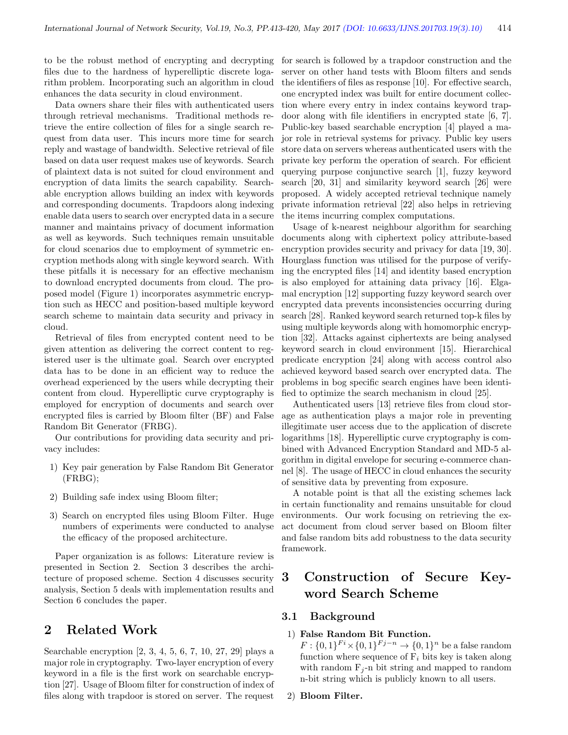to be the robust method of encrypting and decrypting files due to the hardness of hyperelliptic discrete logarithm problem. Incorporating such an algorithm in cloud enhances the data security in cloud environment.

Data owners share their files with authenticated users through retrieval mechanisms. Traditional methods retrieve the entire collection of files for a single search request from data user. This incurs more time for search reply and wastage of bandwidth. Selective retrieval of file based on data user request makes use of keywords. Search of plaintext data is not suited for cloud environment and encryption of data limits the search capability. Searchable encryption allows building an index with keywords and corresponding documents. Trapdoors along indexing enable data users to search over encrypted data in a secure manner and maintains privacy of document information as well as keywords. Such techniques remain unsuitable for cloud scenarios due to employment of symmetric encryption methods along with single keyword search. With these pitfalls it is necessary for an effective mechanism to download encrypted documents from cloud. The proposed model (Figure 1) incorporates asymmetric encryption such as HECC and position-based multiple keyword search scheme to maintain data security and privacy in cloud.

Retrieval of files from encrypted content need to be given attention as delivering the correct content to registered user is the ultimate goal. Search over encrypted data has to be done in an efficient way to reduce the overhead experienced by the users while decrypting their content from cloud. Hyperelliptic curve cryptography is employed for encryption of documents and search over encrypted files is carried by Bloom filter (BF) and False Random Bit Generator (FRBG).

Our contributions for providing data security and privacy includes:

- 1) Key pair generation by False Random Bit Generator (FRBG);
- 2) Building safe index using Bloom filter;
- 3) Search on encrypted files using Bloom Filter. Huge numbers of experiments were conducted to analyse the efficacy of the proposed architecture.

Paper organization is as follows: Literature review is presented in Section 2. Section 3 describes the architecture of proposed scheme. Section 4 discusses security analysis, Section 5 deals with implementation results and Section 6 concludes the paper.

# 2 Related Work

Searchable encryption [2, 3, 4, 5, 6, 7, 10, 27, 29] plays a major role in cryptography. Two-layer encryption of every keyword in a file is the first work on searchable encryption [27]. Usage of Bloom filter for construction of index of files along with trapdoor is stored on server. The request

for search is followed by a trapdoor construction and the server on other hand tests with Bloom filters and sends the identifiers of files as response [10]. For effective search, one encrypted index was built for entire document collection where every entry in index contains keyword trapdoor along with file identifiers in encrypted state [6, 7]. Public-key based searchable encryption [4] played a major role in retrieval systems for privacy. Public key users store data on servers whereas authenticated users with the private key perform the operation of search. For efficient querying purpose conjunctive search [1], fuzzy keyword search [20, 31] and similarity keyword search [26] were proposed. A widely accepted retrieval technique namely private information retrieval [22] also helps in retrieving the items incurring complex computations.

Usage of k-nearest neighbour algorithm for searching documents along with ciphertext policy attribute-based encryption provides security and privacy for data [19, 30]. Hourglass function was utilised for the purpose of verifying the encrypted files [14] and identity based encryption is also employed for attaining data privacy [16]. Elgamal encryption [12] supporting fuzzy keyword search over encrypted data prevents inconsistencies occurring during search [28]. Ranked keyword search returned top-k files by using multiple keywords along with homomorphic encryption [32]. Attacks against ciphertexts are being analysed keyword search in cloud environment [15]. Hierarchical predicate encryption [24] along with access control also achieved keyword based search over encrypted data. The problems in bog specific search engines have been identified to optimize the search mechanism in cloud [25].

Authenticated users [13] retrieve files from cloud storage as authentication plays a major role in preventing illegitimate user access due to the application of discrete logarithms [18]. Hyperelliptic curve cryptography is combined with Advanced Encryption Standard and MD-5 algorithm in digital envelope for securing e-commerce channel [8]. The usage of HECC in cloud enhances the security of sensitive data by preventing from exposure.

A notable point is that all the existing schemes lack in certain functionality and remains unsuitable for cloud environments. Our work focusing on retrieving the exact document from cloud server based on Bloom filter and false random bits add robustness to the data security framework.

# 3 Construction of Secure Keyword Search Scheme

#### 3.1 Background

### 1) False Random Bit Function.

 $F: \{0,1\}^{Fi} \times \{0,1\}^{Fj-n} \rightarrow \{0,1\}^n$  be a false random function where sequence of  $F_i$  bits key is taken along with random  $F_i$ -n bit string and mapped to random n-bit string which is publicly known to all users.

#### 2) Bloom Filter.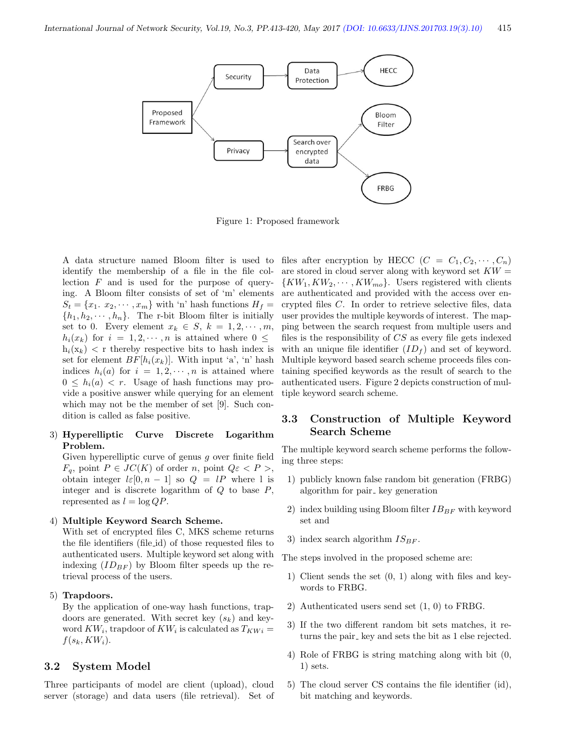

Figure 1: Proposed framework

identify the membership of a file in the file collection F and is used for the purpose of querying. A Bloom filter consists of set of 'm' elements  $S_t = \{x_1, x_2, \dots, x_m\}$  with 'n' hash functions  $H_f =$  $\{h_1, h_2, \dots, h_n\}$ . The r-bit Bloom filter is initially set to 0. Every element  $x_k \in S$ ,  $k = 1, 2, \dots, m$ ,  $h_i(x_k)$  for  $i = 1, 2, \dots, n$  is attained where  $0 \leq$  $h_i(x_k)$  < r thereby respective bits to hash index is set for element  $BF[h_i(x_k)]$ . With input 'a', 'n' hash indices  $h_i(a)$  for  $i = 1, 2, \dots, n$  is attained where  $0 \leq h_i(a) < r$ . Usage of hash functions may provide a positive answer while querying for an element which may not be the member of set [9]. Such condition is called as false positive.

#### 3) Hyperelliptic Curve Discrete Logarithm Problem.

Given hyperelliptic curve of genus g over finite field  $F_q$ , point  $P \in JC(K)$  of order n, point  $Q\varepsilon < P >$ , obtain integer  $l \in [0, n - 1]$  so  $Q = lP$  where l is integer and is discrete logarithm of  $Q$  to base  $P$ , represented as  $l = \log QP$ .

#### 4) Multiple Keyword Search Scheme.

With set of encrypted files C, MKS scheme returns the file identifiers (file id) of those requested files to authenticated users. Multiple keyword set along with indexing  $(ID_{BF} )$  by Bloom filter speeds up the retrieval process of the users.

#### 5) Trapdoors.

By the application of one-way hash functions, trapdoors are generated. With secret key  $(s_k)$  and keyword  $KW_i$ , trapdoor of  $KW_i$  is calculated as  $T_{KWi} =$  $f(s_k, KW_i).$ 

#### 3.2 System Model

Three participants of model are client (upload), cloud server (storage) and data users (file retrieval). Set of

A data structure named Bloom filter is used to files after encryption by HECC  $(C = C_1, C_2, \cdots, C_n)$ are stored in cloud server along with keyword set  $KW =$  $\{KW_1, KW_2, \cdots, KW_{mo}\}.$  Users registered with clients are authenticated and provided with the access over encrypted files C. In order to retrieve selective files, data user provides the multiple keywords of interest. The mapping between the search request from multiple users and files is the responsibility of CS as every file gets indexed with an unique file identifier  $(ID_f )$  and set of keyword. Multiple keyword based search scheme proceeds files containing specified keywords as the result of search to the authenticated users. Figure 2 depicts construction of multiple keyword search scheme.

## 3.3 Construction of Multiple Keyword Search Scheme

The multiple keyword search scheme performs the following three steps:

- 1) publicly known false random bit generation (FRBG) algorithm for pair<sub>-key</sub> generation
- 2) index building using Bloom filter  $IB_{BF}$  with keyword set and
- 3) index search algorithm  $IS_{BF}$ .

The steps involved in the proposed scheme are:

- 1) Client sends the set (0, 1) along with files and keywords to FRBG.
- 2) Authenticated users send set (1, 0) to FRBG.
- 3) If the two different random bit sets matches, it returns the pair key and sets the bit as 1 else rejected.
- 4) Role of FRBG is string matching along with bit (0, 1) sets.
- 5) The cloud server CS contains the file identifier (id), bit matching and keywords.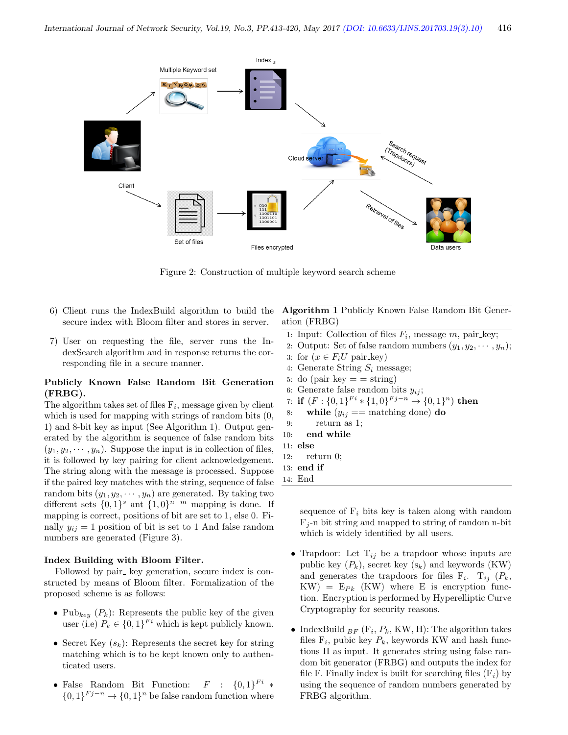

Figure 2: Construction of multiple keyword search scheme

- 6) Client runs the IndexBuild algorithm to build the secure index with Bloom filter and stores in server.
- 7) User on requesting the file, server runs the IndexSearch algorithm and in response returns the corresponding file in a secure manner.

#### Publicly Known False Random Bit Generation (FRBG).

The algorithm takes set of files  $F_i$ , message given by client which is used for mapping with strings of random bits  $(0, 0)$ 1) and 8-bit key as input (See Algorithm 1). Output generated by the algorithm is sequence of false random bits  $(y_1, y_2, \dots, y_n)$ . Suppose the input is in collection of files, it is followed by key pairing for client acknowledgement. The string along with the message is processed. Suppose if the paired key matches with the string, sequence of false random bits  $(y_1, y_2, \dots, y_n)$  are generated. By taking two different sets  $\{0,1\}^s$  ant  $\{1,0\}^{n-m}$  mapping is done. If mapping is correct, positions of bit are set to 1, else 0. Finally  $y_{ij} = 1$  position of bit is set to 1 And false random numbers are generated (Figure 3).

#### Index Building with Bloom Filter.

Followed by pair<sub>-key</sub> generation, secure index is constructed by means of Bloom filter. Formalization of the proposed scheme is as follows:

- Pub<sub>key</sub>  $(P_k)$ : Represents the public key of the given user (i.e)  $P_k \in \{0,1\}^{Fi}$  which is kept publicly known.
- Secret Key  $(s_k)$ : Represents the secret key for string matching which is to be kept known only to authenticated users.
- False Random Bit Function:  $F : \{0,1\}^{Fi} *$  $\{0,1\}^{Fj-n} \rightarrow \{0,1\}^n$  be false random function where

Algorithm 1 Publicly Known False Random Bit Generation (FRBG)

- 1: Input: Collection of files  $F_i$ , message  $m$ , pair<sub>key</sub>;
- 2: Output: Set of false random numbers  $(y_1, y_2, \dots, y_n)$ ;
- 3: for  $(x \in F_i U$  pair\_key)
- 4: Generate String  $S_i$  message;
- 5: do (pair\_key  $=$   $\pi$ )
- 6: Generate false random bits  $y_{ij}$ ;

7: if 
$$
(F: \{0,1\}^{F_i} * \{1,0\}^{F_j-n} \to \{0,1\}^n)
$$
 then

- 8: while  $(y_{ij} == \text{matching}$  done) do
- 9: return as 1;
- 10: end while
- 11: else
- 12: return 0;
- 13: end if
- 14: End

sequence of  $F_i$  bits key is taken along with random  $F_i$ -n bit string and mapped to string of random n-bit which is widely identified by all users.

- Trapdoor: Let  $T_{ij}$  be a trapdoor whose inputs are public key  $(P_k)$ , secret key  $(s_k)$  and keywords  $(KW)$ and generates the trapdoors for files  $F_i$ .  $T_{ij}$  ( $P_k$ ,  $KW) = E_{Pk}$  (KW) where E is encryption function. Encryption is performed by Hyperelliptic Curve Cryptography for security reasons.
- IndexBuild  $_{BF}$  ( $F_i$ ,  $P_k$ , KW, H): The algorithm takes files  $F_i$ , pubic key  $P_k$ , keywords KW and hash functions H as input. It generates string using false random bit generator (FRBG) and outputs the index for file F. Finally index is built for searching files  $(F_i)$  by using the sequence of random numbers generated by FRBG algorithm.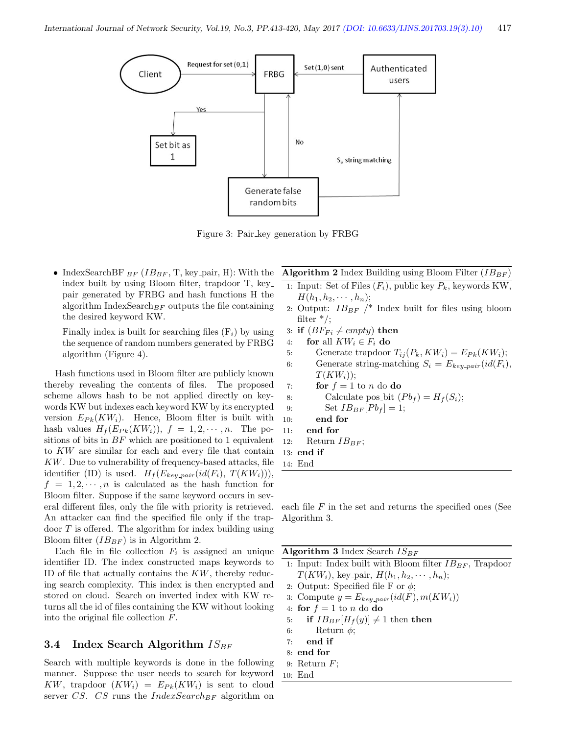

Figure 3: Pair key generation by FRBG

• IndexSearchBF  $_{BF}$  ( $IB_{BF}$ , T, key pair, H): With the index built by using Bloom filter, trapdoor T, key pair generated by FRBG and hash functions H the algorithm IndexSearch $_{BF}$  outputs the file containing the desired keyword KW.

Finally index is built for searching files  $(F_i)$  by using the sequence of random numbers generated by FRBG algorithm (Figure 4).

Hash functions used in Bloom filter are publicly known thereby revealing the contents of files. The proposed scheme allows hash to be not applied directly on keywords KW but indexes each keyword KW by its encrypted version  $E_{Pk}(KW_i)$ . Hence, Bloom filter is built with hash values  $H_f(E_{Pk}(KW_i)), f = 1, 2, \cdots, n$ . The positions of bits in  $BF$  which are positioned to 1 equivalent to KW are similar for each and every file that contain KW. Due to vulnerability of frequency-based attacks, file identifier (ID) is used.  $H_f(E_{key\_pair}(id(F_i), T(KW_i))),$  $f = 1, 2, \dots, n$  is calculated as the hash function for Bloom filter. Suppose if the same keyword occurs in several different files, only the file with priority is retrieved. An attacker can find the specified file only if the trapdoor T is offered. The algorithm for index building using Bloom filter  $(IB_{BF})$  is in Algorithm 2.

Each file in file collection  $F_i$  is assigned an unique identifier ID. The index constructed maps keywords to ID of file that actually contains the  $KW$ , thereby reducing search complexity. This index is then encrypted and stored on cloud. Search on inverted index with KW returns all the id of files containing the KW without looking into the original file collection F.

#### 3.4 Index Search Algorithm  $IS_{BF}$

Search with multiple keywords is done in the following manner. Suppose the user needs to search for keyword KW, trapdoor  $(KW_i) = E_{Pk}(KW_i)$  is sent to cloud server CS. CS runs the  $IndexSearch_{BF}$  algorithm on

#### **Algorithm 2** Index Building using Bloom Filter  $(IB_{BF})$

- 1: Input: Set of Files  $(F_i)$ , public key  $P_k$ , keywords KW,  $H(h_1, h_2, \cdots, h_n);$
- 2: Output:  $IB_{BF}$  /\* Index built for files using bloom filter  $*/;$
- 3: if  $(BF_{Fi} \neq empty)$  then
- 4: for all  $KW_i \in F_i$  do
- 5: Generate trapdoor  $T_{ij}(P_k, KW_i) = E_{Pk}(KW_i);$
- 6: Generate string-matching  $S_i = E_{keu\_pair}(id(F_i))$ ,  $T(KW_i)$ ;
- 7: **for**  $f = 1$  to *n* do **do**
- 8: Calculate pos\_bit  $(Pb_f) = H_f(S_i);$
- 9: Set  $IB_{BF}[P_{bf}]=1;$
- 10: end for
- 11: end for
- 12: Return  $IB_{BF}$ ;
- 13: end if
- 14: End

each file  $F$  in the set and returns the specified ones (See Algorithm 3.

Algorithm 3 Index Search  $IS_{BF}$ 

- 1: Input: Index built with Bloom filter  $IB_{BF}$ , Trapdoor  $T(KW_i)$ , key pair,  $H(h_1, h_2, \cdots, h_n);$
- 2: Output: Specified file F or  $\phi$ ;
- 3: Compute  $y = E_{key\_pair}(id(F), m(KW_i))$
- 4: for  $f = 1$  to n do do
- 5: if  $IB_{BF}[H_f(y)] \neq 1$  then then
- 6: Return  $\phi$ ;
- 7: end if
- 8: end for
- 9: Return  $F$ ;
- 10: End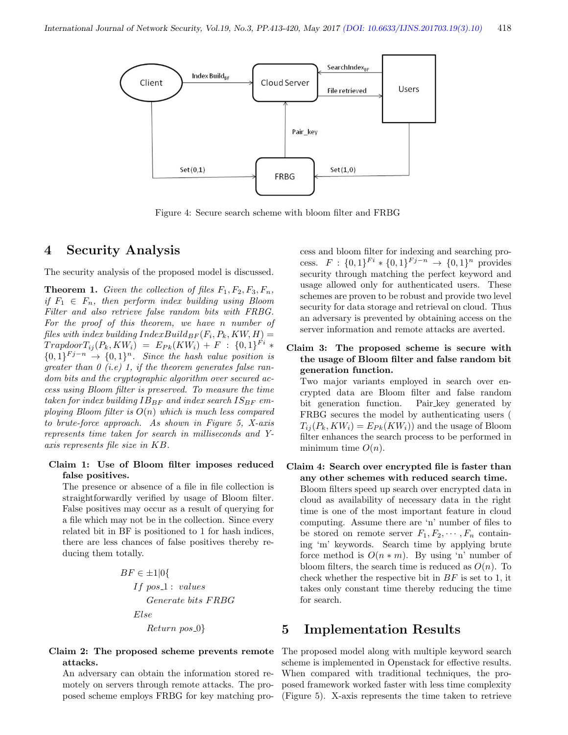

Figure 4: Secure search scheme with bloom filter and FRBG

## 4 Security Analysis

The security analysis of the proposed model is discussed.

**Theorem 1.** Given the collection of files  $F_1, F_2, F_3, F_n$ , if  $F_1 \in F_n$ , then perform index building using Bloom Filter and also retrieve false random bits with FRBG. For the proof of this theorem, we have n number of files with index building  $IndexBuild_{BF}(F_i, P_k, KW, H) =$  $Trapdoor T_{ij}(P_k, KW_i) = E_{Pk}(KW_i) + F : \{0,1\}^{Fi} *$  $\{0,1\}^{Fj-n} \rightarrow \{0,1\}^n$ . Since the hash value position is greater than  $\theta$  (i.e) 1, if the theorem generates false random bits and the cryptographic algorithm over secured access using Bloom filter is preserved. To measure the time taken for index building  $IB_{BF}$  and index search  $IS_{BF}$  employing Bloom filter is  $O(n)$  which is much less compared to brute-force approach. As shown in Figure 5, X-axis represents time taken for search in milliseconds and Yaxis represents file size in KB.

#### Claim 1: Use of Bloom filter imposes reduced false positives.

The presence or absence of a file in file collection is straightforwardly verified by usage of Bloom filter. False positives may occur as a result of querying for a file which may not be in the collection. Since every related bit in BF is positioned to 1 for hash indices, there are less chances of false positives thereby reducing them totally.

$$
BF \in \pm 1|0\{ \\
If pos.1: valuesGenerate bits FRBGElseReturn pos.0}
$$

Claim 2: The proposed scheme prevents remote attacks.

An adversary can obtain the information stored remotely on servers through remote attacks. The proposed scheme employs FRBG for key matching process and bloom filter for indexing and searching process.  $F: \{0,1\}^{F_i} * \{0,1\}^{F_j-n} \to \{0,1\}^n$  provides security through matching the perfect keyword and usage allowed only for authenticated users. These schemes are proven to be robust and provide two level security for data storage and retrieval on cloud. Thus an adversary is prevented by obtaining access on the server information and remote attacks are averted.

Claim 3: The proposed scheme is secure with the usage of Bloom filter and false random bit generation function.

Two major variants employed in search over encrypted data are Bloom filter and false random bit generation function. Pair key generated by FRBG secures the model by authenticating users (  $T_{ii}(P_k, KW_i) = E_{Pk}(KW_i))$  and the usage of Bloom filter enhances the search process to be performed in minimum time  $O(n)$ .

Claim 4: Search over encrypted file is faster than any other schemes with reduced search time. Bloom filters speed up search over encrypted data in cloud as availability of necessary data in the right time is one of the most important feature in cloud computing. Assume there are 'n' number of files to be stored on remote server  $F_1, F_2, \cdots, F_n$  containing 'm' keywords. Search time by applying brute force method is  $O(n * m)$ . By using 'n' number of bloom filters, the search time is reduced as  $O(n)$ . To check whether the respective bit in  $BF$  is set to 1, it takes only constant time thereby reducing the time for search.

## 5 Implementation Results

The proposed model along with multiple keyword search scheme is implemented in Openstack for effective results. When compared with traditional techniques, the proposed framework worked faster with less time complexity (Figure 5). X-axis represents the time taken to retrieve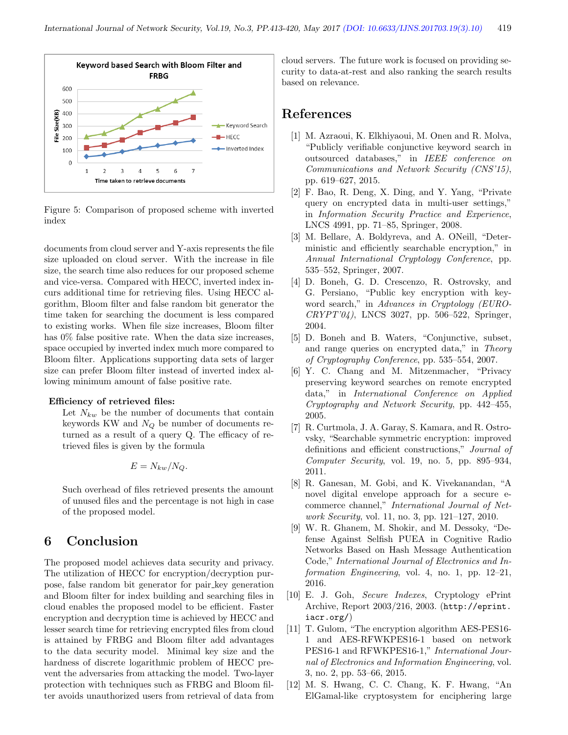

Figure 5: Comparison of proposed scheme with inverted index

documents from cloud server and Y-axis represents the file size uploaded on cloud server. With the increase in file size, the search time also reduces for our proposed scheme and vice-versa. Compared with HECC, inverted index incurs additional time for retrieving files. Using HECC algorithm, Bloom filter and false random bit generator the time taken for searching the document is less compared to existing works. When file size increases, Bloom filter has  $0\%$  false positive rate. When the data size increases, space occupied by inverted index much more compared to Bloom filter. Applications supporting data sets of larger size can prefer Bloom filter instead of inverted index allowing minimum amount of false positive rate.

#### Efficiency of retrieved files:

Let  $N_{kw}$  be the number of documents that contain keywords KW and  $N_Q$  be number of documents returned as a result of a query Q. The efficacy of retrieved files is given by the formula

$$
E = N_{kw}/N_Q.
$$

Such overhead of files retrieved presents the amount of unused files and the percentage is not high in case of the proposed model.

## 6 Conclusion

The proposed model achieves data security and privacy. The utilization of HECC for encryption/decryption purpose, false random bit generator for pair key generation and Bloom filter for index building and searching files in cloud enables the proposed model to be efficient. Faster encryption and decryption time is achieved by HECC and lesser search time for retrieving encrypted files from cloud is attained by FRBG and Bloom filter add advantages to the data security model. Minimal key size and the hardness of discrete logarithmic problem of HECC prevent the adversaries from attacking the model. Two-layer protection with techniques such as FRBG and Bloom filter avoids unauthorized users from retrieval of data from

cloud servers. The future work is focused on providing security to data-at-rest and also ranking the search results based on relevance.

## References

- [1] M. Azraoui, K. Elkhiyaoui, M. Onen and R. Molva, "Publicly verifiable conjunctive keyword search in outsourced databases," in IEEE conference on Communications and Network Security (CNS'15), pp. 619–627, 2015.
- [2] F. Bao, R. Deng, X. Ding, and Y. Yang, "Private query on encrypted data in multi-user settings," in Information Security Practice and Experience, LNCS 4991, pp. 71–85, Springer, 2008.
- [3] M. Bellare, A. Boldyreva, and A. ONeill, "Deterministic and efficiently searchable encryption," in Annual International Cryptology Conference, pp. 535–552, Springer, 2007.
- [4] D. Boneh, G. D. Crescenzo, R. Ostrovsky, and G. Persiano, "Public key encryption with keyword search," in Advances in Cryptology (EURO-CRYPT'04), LNCS 3027, pp. 506–522, Springer, 2004.
- [5] D. Boneh and B. Waters, "Conjunctive, subset, and range queries on encrypted data," in Theory of Cryptography Conference, pp. 535–554, 2007.
- [6] Y. C. Chang and M. Mitzenmacher, "Privacy preserving keyword searches on remote encrypted data," in International Conference on Applied Cryptography and Network Security, pp. 442–455, 2005.
- [7] R. Curtmola, J. A. Garay, S. Kamara, and R. Ostrovsky, "Searchable symmetric encryption: improved definitions and efficient constructions," Journal of Computer Security, vol. 19, no. 5, pp. 895–934, 2011.
- [8] R. Ganesan, M. Gobi, and K. Vivekanandan, "A novel digital envelope approach for a secure ecommerce channel," International Journal of Network Security, vol. 11, no. 3, pp. 121–127, 2010.
- [9] W. R. Ghanem, M. Shokir, and M. Dessoky, "Defense Against Selfish PUEA in Cognitive Radio Networks Based on Hash Message Authentication Code," International Journal of Electronics and Information Engineering, vol. 4, no. 1, pp. 12–21, 2016.
- [10] E. J. Goh, Secure Indexes, Cryptology ePrint Archive, Report 2003/216, 2003. (http://eprint. iacr.org/)
- [11] T. Gulom, "The encryption algorithm AES-PES16- 1 and AES-RFWKPES16-1 based on network PES16-1 and RFWKPES16-1," International Journal of Electronics and Information Engineering, vol. 3, no. 2, pp. 53–66, 2015.
- [12] M. S. Hwang, C. C. Chang, K. F. Hwang, "An ElGamal-like cryptosystem for enciphering large